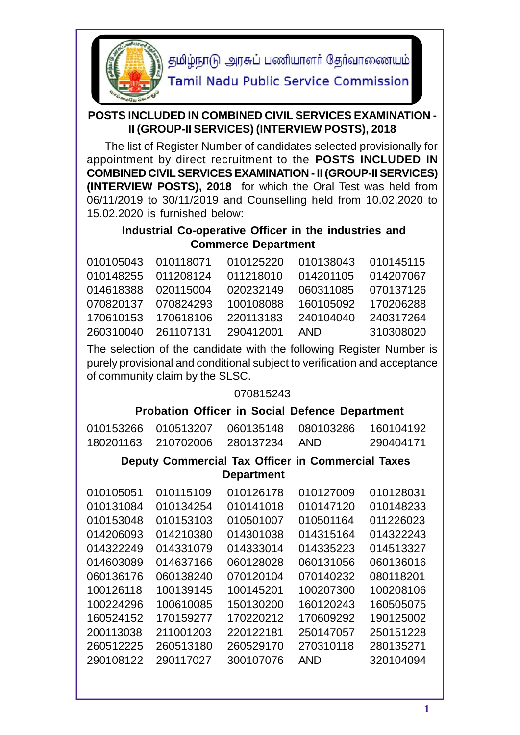

தமிழ்நாடு அரசுப் பணியாளர் தேர்வாணையம்

**Tamil Nadu Public Service Commission** 

## **POSTS INCLUDED IN COMBINED CIVIL SERVICES EXAMINATION - II (GROUP-II SERVICES) (INTERVIEW POSTS), 2018**

 The list of Register Number of candidates selected provisionally for appointment by direct recruitment to the **POSTS INCLUDED IN COMBINED CIVIL SERVICES EXAMINATION - II (GROUP-II SERVICES) (INTERVIEW POSTS), 2018** for which the Oral Test was held from 06/11/2019 to 30/11/2019 and Counselling held from 10.02.2020 to 15.02.2020 is furnished below:

## **Industrial Co-operative Officer in the industries and Commerce Department**

|                                   |           | 010105043  010118071  010125220  010138043  010145115 |           |  |
|-----------------------------------|-----------|-------------------------------------------------------|-----------|--|
| 010148255 011208124               | 011218010 |                                                       |           |  |
| 014618388 020115004               | 020232149 | 060311085 070137126                                   |           |  |
| 070820137   070824293   100108088 |           | 160105092 170206288                                   |           |  |
| 170610153 170618106               | 220113183 | 240104040 240317264                                   |           |  |
| 260310040 261107131 290412001     |           | AND                                                   | 310308020 |  |

The selection of the candidate with the following Register Number is purely provisional and conditional subject to verification and acceptance of community claim by the SLSC.

## 070815243

# **Probation Officer in Social Defence Department**

| 010153266 | 010513207 | 060135148                                                | 080103286  | 160104192 |
|-----------|-----------|----------------------------------------------------------|------------|-----------|
| 180201163 | 210702006 | 280137234                                                | <b>AND</b> | 290404171 |
|           |           | <b>Deputy Commercial Tax Officer in Commercial Taxes</b> |            |           |
|           |           | <b>Department</b>                                        |            |           |
| 010105051 | 010115109 | 010126178                                                | 010127009  | 010128031 |
| 010131084 | 010134254 | 010141018                                                | 010147120  | 010148233 |
| 010153048 | 010153103 | 010501007                                                | 010501164  | 011226023 |
| 014206093 | 014210380 | 014301038                                                | 014315164  | 014322243 |
| 014322249 | 014331079 | 014333014                                                | 014335223  | 014513327 |
| 014603089 | 014637166 | 060128028                                                | 060131056  | 060136016 |
| 060136176 | 060138240 | 070120104                                                | 070140232  | 080118201 |
| 100126118 | 100139145 | 100145201                                                | 100207300  | 100208106 |
| 100224296 | 100610085 | 150130200                                                | 160120243  | 160505075 |
| 160524152 | 170159277 | 170220212                                                | 170609292  | 190125002 |
| 200113038 | 211001203 | 220122181                                                | 250147057  | 250151228 |
| 260512225 | 260513180 | 260529170                                                | 270310118  | 280135271 |
| 290108122 | 290117027 | 300107076                                                | <b>AND</b> | 320104094 |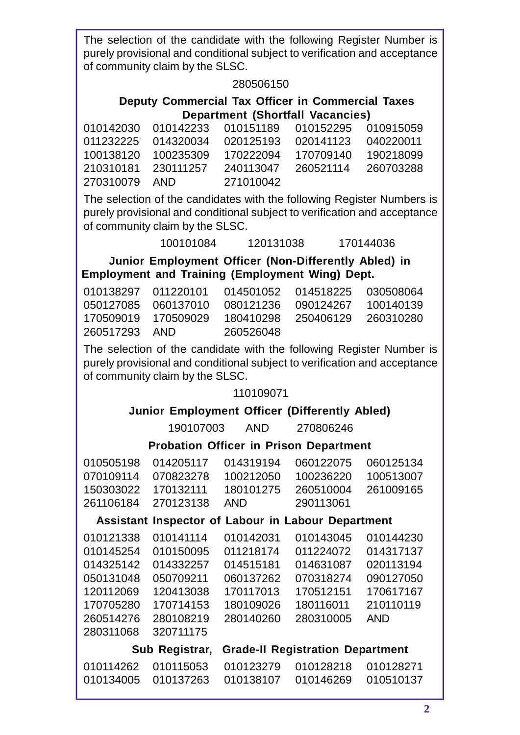The selection of the candidate with the following Register Number is purely provisional and conditional subject to verification and acceptance of community claim by the SLSC.

### 280506150

### **Deputy Commercial Tax Officer in Commercial Taxes Department (Shortfall Vacancies)**

|               |           | 010142030 010142233 010151189 010152295 010915059     |  |
|---------------|-----------|-------------------------------------------------------|--|
|               |           | 011232225 014320034 020125193 020141123 040220011     |  |
|               |           |                                                       |  |
|               |           | 210310181  230111257  240113047  260521114  260703288 |  |
| 270310079 AND | 271010042 |                                                       |  |
|               |           |                                                       |  |

The selection of the candidates with the following Register Numbers is purely provisional and conditional subject to verification and acceptance of community claim by the SLSC.

100101084 120131038 170144036

**Junior Employment Officer (Non-Differently Abled) in Employment and Training (Employment Wing) Dept.**

|               | 170509019 170509029 |           | 180410298 250406129 260310280 |  |
|---------------|---------------------|-----------|-------------------------------|--|
| 260517293 AND |                     | 260526048 |                               |  |

The selection of the candidate with the following Register Number is purely provisional and conditional subject to verification and acceptance of community claim by the SLSC.

## 110109071

## **Junior Employment Officer (Differently Abled)**

190107003 AND 270806246

**Probation Officer in Prison Department**

| 014205117 | 014319194  | 060122075      | 060125134                                                                                                                               |
|-----------|------------|----------------|-----------------------------------------------------------------------------------------------------------------------------------------|
| 070823278 | 100212050  | 100236220      | 100513007                                                                                                                               |
| 170132111 | 180101275  | 260510004      | 261009165                                                                                                                               |
| 270123138 | <b>AND</b> | 290113061      |                                                                                                                                         |
|           |            |                |                                                                                                                                         |
| 010141114 | 010142031  | 010143045      | 010144230                                                                                                                               |
| 010150095 | 011218174  | 011224072      | 014317137                                                                                                                               |
| 014332257 | 014515181  | 014631087      | 020113194                                                                                                                               |
| 050709211 | 060137262  | 070318274      | 090127050                                                                                                                               |
| 120413038 | 170117013  | 170512151      | 170617167                                                                                                                               |
| 170714153 | 180109026  | 180116011      | 210110119                                                                                                                               |
| 280108219 | 280140260  | 280310005      | <b>AND</b>                                                                                                                              |
| 320711175 |            |                |                                                                                                                                         |
|           |            |                |                                                                                                                                         |
| 010115053 | 010123279  | 010128218      | 010128271                                                                                                                               |
| 010137263 | 010138107  | 010146269      | 010510137                                                                                                                               |
|           |            | Sub Registrar, | Propation Officer in Prison Department<br>Assistant Inspector of Labour in Labour Department<br><b>Grade-II Registration Department</b> |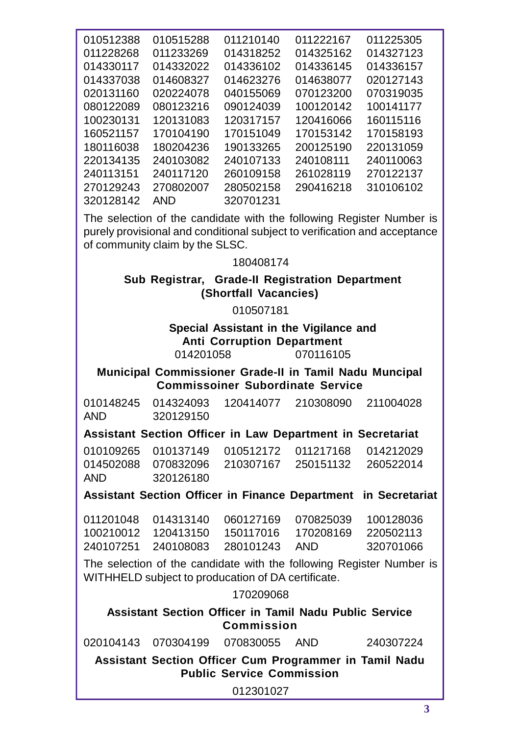| 010512388 | 010515288  | 011210140 | 011222167 | 011225305 |  |
|-----------|------------|-----------|-----------|-----------|--|
| 011228268 | 011233269  | 014318252 | 014325162 | 014327123 |  |
| 014330117 | 014332022  | 014336102 | 014336145 | 014336157 |  |
| 014337038 | 014608327  | 014623276 | 014638077 | 020127143 |  |
| 020131160 | 020224078  | 040155069 | 070123200 | 070319035 |  |
| 080122089 | 080123216  | 090124039 | 100120142 | 100141177 |  |
| 100230131 | 120131083  | 120317157 | 120416066 | 160115116 |  |
| 160521157 | 170104190  | 170151049 | 170153142 | 170158193 |  |
| 180116038 | 180204236  | 190133265 | 200125190 | 220131059 |  |
| 220134135 | 240103082  | 240107133 | 240108111 | 240110063 |  |
| 240113151 | 240117120  | 260109158 | 261028119 | 270122137 |  |
| 270129243 | 270802007  | 280502158 | 290416218 | 310106102 |  |
| 320128142 | <b>AND</b> | 320701231 |           |           |  |
|           |            |           |           |           |  |

The selection of the candidate with the following Register Number is purely provisional and conditional subject to verification and acceptance of community claim by the SLSC.

180408174

### **Sub Registrar, Grade-II Registration Department (Shortfall Vacancies)**

010507181

**Special Assistant in the Vigilance and Anti Corruption Department** 014201058 070116105

**Municipal Commissioner Grade-II in Tamil Nadu Muncipal Commissoiner Subordinate Service**

010148245 014324093 120414077 210308090 211004028 AND 320129150

**Assistant Section Officer in Law Department in Secretariat**

010109265 010137149 010512172 011217168 014212029 014502088 070832096 210307167 250151132 260522014 AND 320126180

**Assistant Section Officer in Finance Department in Secretariat**

|  |                                   | 100210012 120413150 150117016 170208169 220502113 |           |  |
|--|-----------------------------------|---------------------------------------------------|-----------|--|
|  | 240107251 240108083 280101243 AND |                                                   | 320701066 |  |

The selection of the candidate with the following Register Number is WITHHELD subject to producation of DA certificate.

170209068

**Assistant Section Officer in Tamil Nadu Public Service Commission**

| 020104143  070304199  070830055 |  | 240307224 |  |
|---------------------------------|--|-----------|--|
|---------------------------------|--|-----------|--|

**Assistant Section Officer Cum Programmer in Tamil Nadu Public Service Commission**

012301027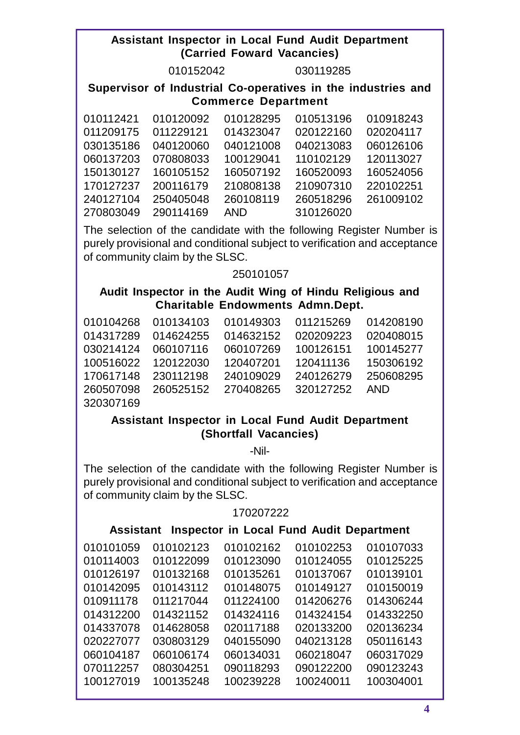### **Assistant Inspector in Local Fund Audit Department (Carried Foward Vacancies)**

030119285

### **Supervisor of Industrial Co-operatives in the industries and Commerce Department**

| 010112421 | 010120092 | 010128295  | 010513196 | 010918243 |  |
|-----------|-----------|------------|-----------|-----------|--|
| 011209175 | 011229121 | 014323047  | 020122160 | 020204117 |  |
| 030135186 | 040120060 | 040121008  | 040213083 | 060126106 |  |
| 060137203 | 070808033 | 100129041  | 110102129 | 120113027 |  |
| 150130127 | 160105152 | 160507192  | 160520093 | 160524056 |  |
| 170127237 | 200116179 | 210808138  | 210907310 | 220102251 |  |
| 240127104 | 250405048 | 260108119  | 260518296 | 261009102 |  |
| 270803049 | 290114169 | <b>AND</b> | 310126020 |           |  |

The selection of the candidate with the following Register Number is purely provisional and conditional subject to verification and acceptance of community claim by the SLSC.

### 

## **Audit Inspector in the Audit Wing of Hindu Religious and Charitable Endowments Admn.Dept.**

| 010104268 010134103 |                     | 010149303 | 011215269 | 014208190 |  |
|---------------------|---------------------|-----------|-----------|-----------|--|
| 014317289 014624255 |                     | 014632152 | 020209223 | 020408015 |  |
| 030214124 060107116 |                     | 060107269 | 100126151 | 100145277 |  |
| 100516022 120122030 |                     | 120407201 | 120411136 | 150306192 |  |
| 170617148 230112198 |                     | 240109029 | 240126279 | 250608295 |  |
| 260507098           | 260525152 270408265 |           | 320127252 | AND       |  |
| 320307169           |                     |           |           |           |  |

## **Assistant Inspector in Local Fund Audit Department (Shortfall Vacancies)**

-Nil-

The selection of the candidate with the following Register Number is purely provisional and conditional subject to verification and acceptance of community claim by the SLSC.

#### 

## **Assistant Inspector in Local Fund Audit Department**

| 010101059 | 010102123 | 010102162 | 010102253 | 010107033 |  |
|-----------|-----------|-----------|-----------|-----------|--|
| 010114003 | 010122099 | 010123090 | 010124055 | 010125225 |  |
| 010126197 | 010132168 | 010135261 | 010137067 | 010139101 |  |
| 010142095 | 010143112 | 010148075 | 010149127 | 010150019 |  |
| 010911178 | 011217044 | 011224100 | 014206276 | 014306244 |  |
| 014312200 | 014321152 | 014324116 | 014324154 | 014332250 |  |
| 014337078 | 014628058 | 020117188 | 020133200 | 020136234 |  |
| 020227077 | 030803129 | 040155090 | 040213128 | 050116143 |  |
| 060104187 | 060106174 | 060134031 | 060218047 | 060317029 |  |
| 070112257 | 080304251 | 090118293 | 090122200 | 090123243 |  |
| 100127019 | 100135248 | 100239228 | 100240011 | 100304001 |  |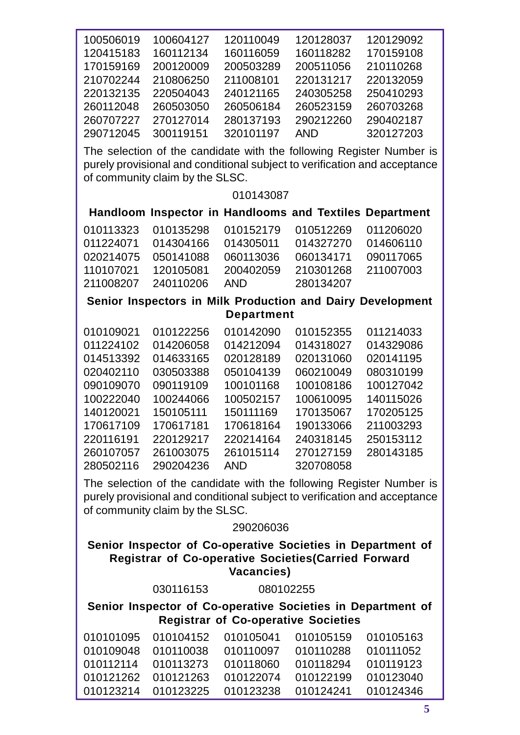| 100506019<br>120415183 | 100604127<br>160112134                                      | 120110049<br>160116059 | 120128037<br>160118282                     | 120129092<br>170159108                                                                                                                            |
|------------------------|-------------------------------------------------------------|------------------------|--------------------------------------------|---------------------------------------------------------------------------------------------------------------------------------------------------|
| 170159169              | 200120009                                                   | 200503289              | 200511056                                  | 210110268                                                                                                                                         |
| 210702244              | 210806250                                                   | 211008101              | 220131217                                  | 220132059                                                                                                                                         |
| 220132135              | 220504043                                                   | 240121165              | 240305258                                  | 250410293                                                                                                                                         |
| 260112048              | 260503050                                                   | 260506184              | 260523159                                  | 260703268                                                                                                                                         |
| 260707227              | 270127014                                                   | 280137193              | 290212260                                  | 290402187                                                                                                                                         |
| 290712045              | 300119151                                                   | 320101197              | <b>AND</b>                                 | 320127203                                                                                                                                         |
|                        |                                                             |                        |                                            |                                                                                                                                                   |
|                        |                                                             |                        |                                            | The selection of the candidate with the following Register Number is<br>purely provisional and conditional subject to verification and acceptance |
|                        | of community claim by the SLSC.                             | 010143087              |                                            |                                                                                                                                                   |
|                        |                                                             |                        |                                            | Handloom Inspector in Handlooms and Textiles Department                                                                                           |
| 010113323              | 010135298                                                   | 010152179              | 010512269                                  | 011206020                                                                                                                                         |
| 011224071              | 014304166                                                   | 014305011              | 014327270                                  | 014606110                                                                                                                                         |
| 020214075              | 050141088                                                   | 060113036              | 060134171                                  | 090117065                                                                                                                                         |
| 110107021              | 120105081                                                   | 200402059              | 210301268                                  | 211007003                                                                                                                                         |
| 211008207              | 240110206                                                   | <b>AND</b>             | 280134207                                  |                                                                                                                                                   |
|                        |                                                             |                        |                                            | Senior Inspectors in Milk Production and Dairy Development                                                                                        |
|                        |                                                             | <b>Department</b>      |                                            |                                                                                                                                                   |
| 010109021              | 010122256                                                   | 010142090              | 010152355                                  | 011214033                                                                                                                                         |
| 011224102              | 014206058                                                   | 014212094              | 014318027                                  | 014329086                                                                                                                                         |
| 014513392              | 014633165                                                   | 020128189              | 020131060                                  | 020141195                                                                                                                                         |
| 020402110              | 030503388                                                   | 050104139              | 060210049                                  | 080310199                                                                                                                                         |
| 090109070              | 090119109                                                   | 100101168              | 100108186                                  | 100127042                                                                                                                                         |
| 100222040              | 100244066                                                   | 100502157              | 100610095                                  | 140115026                                                                                                                                         |
| 140120021              | 150105111                                                   | 150111169              | 170135067                                  | 170205125                                                                                                                                         |
| 170617109              | 170617181                                                   | 170618164              | 190133066                                  | 211003293                                                                                                                                         |
| 220116191              | 220129217                                                   | 220214164              | 240318145                                  | 250153112                                                                                                                                         |
| 260107057              | 261003075                                                   | 261015114              | 270127159                                  | 280143185                                                                                                                                         |
| 280502116              | 290204236                                                   | <b>AND</b>             | 320708058                                  |                                                                                                                                                   |
|                        |                                                             |                        |                                            | The selection of the candidate with the following Register Number is                                                                              |
|                        |                                                             |                        |                                            | purely provisional and conditional subject to verification and acceptance                                                                         |
|                        | of community claim by the SLSC.                             | 290206036              |                                            |                                                                                                                                                   |
|                        |                                                             |                        |                                            |                                                                                                                                                   |
|                        | <b>Registrar of Co-operative Societies (Carried Forward</b> |                        |                                            | Senior Inspector of Co-operative Societies in Department of                                                                                       |
|                        |                                                             | Vacancies)             |                                            |                                                                                                                                                   |
|                        | 030116153                                                   | 080102255              |                                            |                                                                                                                                                   |
|                        |                                                             |                        |                                            | Senior Inspector of Co-operative Societies in Department of                                                                                       |
|                        |                                                             |                        | <b>Registrar of Co-operative Societies</b> |                                                                                                                                                   |
| 010101095              | 010104152                                                   | 010105041              | 010105159                                  | 010105163                                                                                                                                         |
| 010109048              | 010110038                                                   | 010110097              | 010110288                                  | 010111052                                                                                                                                         |
| 010112114              | 010113273                                                   | 010118060              | 010118294                                  | 010119123                                                                                                                                         |
| 010121262              | 010121263                                                   | 010122074              | 010122199                                  | 010123040                                                                                                                                         |
| 010123214              | 010123225                                                   | 010123238              | 010124241                                  | 010124346                                                                                                                                         |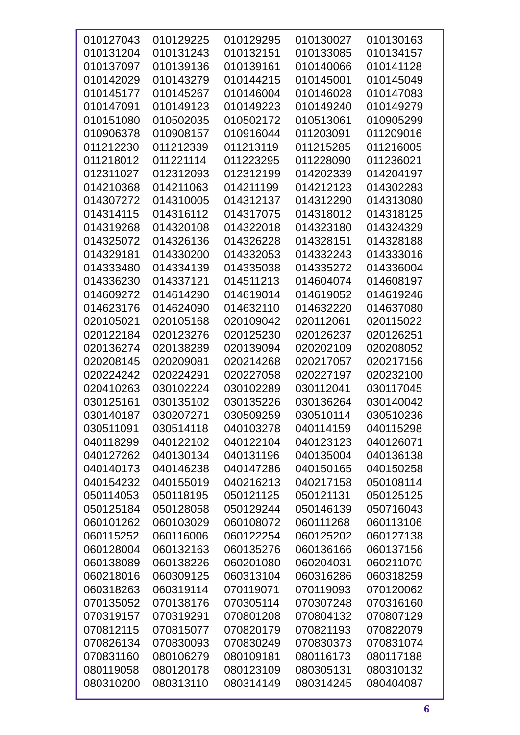| 010127043 | 010129225 | 010129295 | 010130027 | 010130163 |
|-----------|-----------|-----------|-----------|-----------|
| 010131204 | 010131243 | 010132151 | 010133085 | 010134157 |
| 010137097 | 010139136 | 010139161 | 010140066 | 010141128 |
| 010142029 | 010143279 | 010144215 | 010145001 | 010145049 |
| 010145177 | 010145267 | 010146004 | 010146028 | 010147083 |
| 010147091 | 010149123 | 010149223 | 010149240 | 010149279 |
| 010151080 | 010502035 | 010502172 | 010513061 | 010905299 |
| 010906378 | 010908157 | 010916044 | 011203091 | 011209016 |
| 011212230 | 011212339 | 011213119 | 011215285 | 011216005 |
| 011218012 | 011221114 | 011223295 | 011228090 | 011236021 |
| 012311027 | 012312093 | 012312199 | 014202339 | 014204197 |
| 014210368 | 014211063 | 014211199 | 014212123 | 014302283 |
| 014307272 | 014310005 | 014312137 | 014312290 | 014313080 |
| 014314115 | 014316112 | 014317075 | 014318012 | 014318125 |
| 014319268 | 014320108 | 014322018 | 014323180 | 014324329 |
| 014325072 | 014326136 | 014326228 | 014328151 | 014328188 |
| 014329181 | 014330200 | 014332053 | 014332243 | 014333016 |
| 014333480 | 014334139 | 014335038 | 014335272 | 014336004 |
| 014336230 | 014337121 | 014511213 | 014604074 | 014608197 |
| 014609272 | 014614290 | 014619014 | 014619052 | 014619246 |
| 014623176 | 014624090 | 014632110 | 014632220 | 014637080 |
| 020105021 | 020105168 | 020109042 | 020112061 | 020115022 |
| 020122184 | 020123276 | 020125230 | 020126237 | 020126251 |
| 020136274 | 020138289 | 020139094 | 020202109 | 020208052 |
| 020208145 | 020209081 | 020214268 | 020217057 | 020217156 |
| 020224242 | 020224291 | 020227058 | 020227197 | 020232100 |
| 020410263 | 030102224 | 030102289 | 030112041 | 030117045 |
| 030125161 | 030135102 | 030135226 | 030136264 | 030140042 |
| 030140187 | 030207271 | 030509259 | 030510114 | 030510236 |
| 030511091 | 030514118 | 040103278 | 040114159 | 040115298 |
| 040118299 | 040122102 | 040122104 | 040123123 | 040126071 |
| 040127262 | 040130134 | 040131196 | 040135004 | 040136138 |
| 040140173 | 040146238 | 040147286 | 040150165 | 040150258 |
| 040154232 | 040155019 | 040216213 | 040217158 | 050108114 |
| 050114053 | 050118195 | 050121125 | 050121131 | 050125125 |
| 050125184 | 050128058 | 050129244 | 050146139 | 050716043 |
| 060101262 | 060103029 | 060108072 | 060111268 | 060113106 |
| 060115252 | 060116006 | 060122254 | 060125202 | 060127138 |
| 060128004 | 060132163 | 060135276 | 060136166 | 060137156 |
| 060138089 | 060138226 | 060201080 | 060204031 | 060211070 |
| 060218016 | 060309125 | 060313104 | 060316286 | 060318259 |
| 060318263 | 060319114 | 070119071 | 070119093 | 070120062 |
| 070135052 | 070138176 | 070305114 | 070307248 | 070316160 |
| 070319157 | 070319291 | 070801208 | 070804132 | 070807129 |
| 070812115 | 070815077 | 070820179 | 070821193 | 070822079 |
| 070826134 | 070830093 | 070830249 | 070830373 | 070831074 |
| 070831160 | 080106279 | 080109181 | 080116173 | 080117188 |
| 080119058 | 080120178 | 080123109 | 080305131 | 080310132 |
| 080310200 | 080313110 | 080314149 | 080314245 | 080404087 |
|           |           |           |           |           |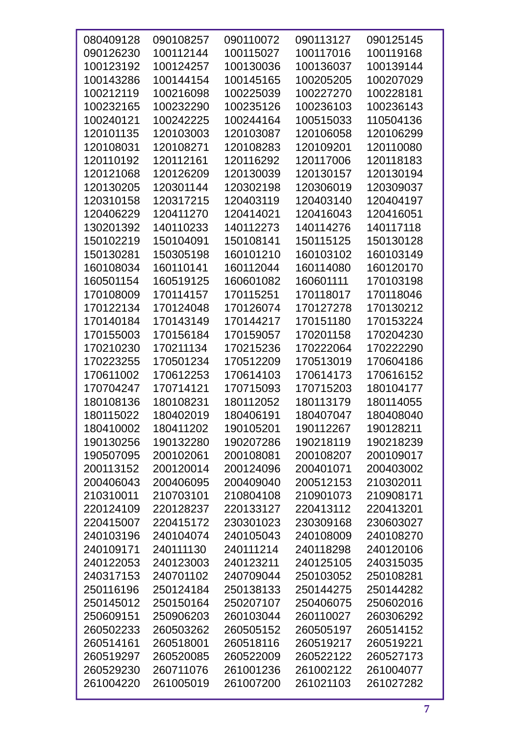| 080409128 | 090108257 | 090110072 | 090113127 | 090125145 |
|-----------|-----------|-----------|-----------|-----------|
| 090126230 | 100112144 | 100115027 | 100117016 | 100119168 |
| 100123192 | 100124257 | 100130036 | 100136037 | 100139144 |
| 100143286 | 100144154 | 100145165 | 100205205 | 100207029 |
| 100212119 | 100216098 | 100225039 | 100227270 | 100228181 |
| 100232165 | 100232290 | 100235126 | 100236103 | 100236143 |
| 100240121 | 100242225 | 100244164 | 100515033 | 110504136 |
| 120101135 | 120103003 | 120103087 | 120106058 | 120106299 |
| 120108031 | 120108271 | 120108283 | 120109201 | 120110080 |
| 120110192 | 120112161 | 120116292 | 120117006 | 120118183 |
| 120121068 | 120126209 | 120130039 | 120130157 | 120130194 |
| 120130205 | 120301144 | 120302198 | 120306019 | 120309037 |
| 120310158 | 120317215 | 120403119 | 120403140 | 120404197 |
| 120406229 | 120411270 | 120414021 | 120416043 | 120416051 |
| 130201392 | 140110233 | 140112273 | 140114276 | 140117118 |
| 150102219 | 150104091 | 150108141 | 150115125 | 150130128 |
| 150130281 | 150305198 | 160101210 | 160103102 | 160103149 |
| 160108034 | 160110141 | 160112044 | 160114080 | 160120170 |
| 160501154 | 160519125 | 160601082 | 160601111 | 170103198 |
| 170108009 | 170114157 | 170115251 | 170118017 | 170118046 |
| 170122134 | 170124048 | 170126074 | 170127278 | 170130212 |
| 170140184 | 170143149 | 170144217 | 170151180 | 170153224 |
| 170155003 | 170156184 | 170159057 | 170201158 | 170204230 |
| 170210230 | 170211134 | 170215236 | 170222064 | 170222290 |
| 170223255 | 170501234 | 170512209 | 170513019 | 170604186 |
| 170611002 | 170612253 | 170614103 | 170614173 | 170616152 |
| 170704247 | 170714121 | 170715093 | 170715203 | 180104177 |
| 180108136 | 180108231 | 180112052 | 180113179 | 180114055 |
| 180115022 | 180402019 | 180406191 | 180407047 | 180408040 |
| 180410002 | 180411202 | 190105201 | 190112267 | 190128211 |
| 190130256 | 190132280 | 190207286 | 190218119 | 190218239 |
| 190507095 | 200102061 | 200108081 | 200108207 | 200109017 |
| 200113152 | 200120014 | 200124096 | 200401071 | 200403002 |
| 200406043 | 200406095 | 200409040 | 200512153 | 210302011 |
| 210310011 | 210703101 | 210804108 | 210901073 | 210908171 |
| 220124109 | 220128237 | 220133127 | 220413112 | 220413201 |
| 220415007 | 220415172 | 230301023 | 230309168 | 230603027 |
| 240103196 | 240104074 | 240105043 | 240108009 | 240108270 |
| 240109171 | 240111130 | 240111214 | 240118298 | 240120106 |
| 240122053 | 240123003 | 240123211 | 240125105 | 240315035 |
| 240317153 | 240701102 | 240709044 | 250103052 | 250108281 |
| 250116196 | 250124184 | 250138133 | 250144275 | 250144282 |
| 250145012 | 250150164 | 250207107 | 250406075 | 250602016 |
| 250609151 | 250906203 | 260103044 | 260110027 | 260306292 |
| 260502233 | 260503262 | 260505152 | 260505197 | 260514152 |
| 260514161 | 260518001 | 260518116 | 260519217 | 260519221 |
| 260519297 | 260520085 | 260522009 | 260522122 | 260527173 |
| 260529230 | 260711076 | 261001236 | 261002122 | 261004077 |
| 261004220 | 261005019 | 261007200 | 261021103 | 261027282 |
|           |           |           |           |           |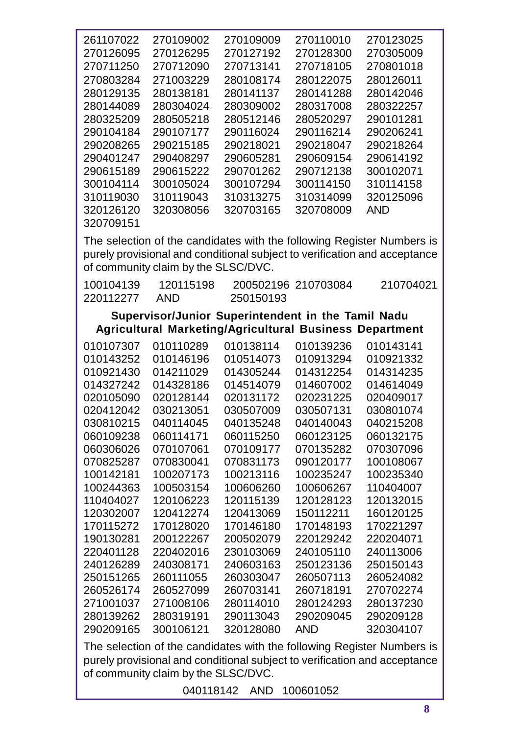| 261107022              | 270109002                           | 270109009                                                      | 270110010           | 270123025                                                                                                                                           |
|------------------------|-------------------------------------|----------------------------------------------------------------|---------------------|-----------------------------------------------------------------------------------------------------------------------------------------------------|
| 270126095              | 270126295                           | 270127192                                                      | 270128300           | 270305009                                                                                                                                           |
| 270711250              | 270712090                           | 270713141                                                      | 270718105           | 270801018                                                                                                                                           |
| 270803284              | 271003229                           | 280108174                                                      | 280122075           | 280126011                                                                                                                                           |
| 280129135              | 280138181                           | 280141137                                                      | 280141288           | 280142046                                                                                                                                           |
| 280144089              | 280304024                           | 280309002                                                      | 280317008           | 280322257                                                                                                                                           |
| 280325209              | 280505218                           | 280512146                                                      | 280520297           | 290101281                                                                                                                                           |
| 290104184              | 290107177                           | 290116024                                                      | 290116214           | 290206241                                                                                                                                           |
| 290208265              | 290215185                           | 290218021                                                      | 290218047           | 290218264                                                                                                                                           |
| 290401247              | 290408297                           | 290605281                                                      | 290609154           | 290614192                                                                                                                                           |
| 290615189              | 290615222                           | 290701262                                                      | 290712138           | 300102071                                                                                                                                           |
| 300104114              | 300105024                           | 300107294                                                      | 300114150           | 310114158                                                                                                                                           |
| 310119030              | 310119043                           | 310313275                                                      | 310314099           | 320125096                                                                                                                                           |
| 320126120              | 320308056                           | 320703165                                                      | 320708009           | <b>AND</b>                                                                                                                                          |
| 320709151              |                                     |                                                                |                     |                                                                                                                                                     |
|                        | of community claim by the SLSC/DVC. |                                                                |                     | The selection of the candidates with the following Register Numbers is<br>purely provisional and conditional subject to verification and acceptance |
| 100104139<br>220112277 | 120115198<br><b>AND</b>             | 250150193                                                      | 200502196 210703084 | 210704021                                                                                                                                           |
|                        |                                     | Supervisor/Junior Superintendent in the Tamil Nadu             |                     |                                                                                                                                                     |
|                        |                                     | <b>Agricultural Marketing/Agricultural Business Department</b> |                     |                                                                                                                                                     |
| 010107307              | 010110289                           | 010138114                                                      | 010139236           | 010143141                                                                                                                                           |
| 010143252              | 010146196                           | 010514073                                                      | 010913294           | 010921332                                                                                                                                           |
| 010921430              |                                     |                                                                |                     |                                                                                                                                                     |
|                        | 014211029                           | 014305244                                                      | 014312254           | 014314235                                                                                                                                           |
| 014327242              | 014328186                           | 014514079                                                      | 014607002           | 014614049                                                                                                                                           |
| 020105090              | 020128144                           | 020131172                                                      | 020231225           | 020409017                                                                                                                                           |
| 020412042              | 030213051                           | 030507009                                                      | 030507131           | 030801074                                                                                                                                           |
| 030810215              | 040114045                           | 040135248                                                      | 040140043           | 040215208                                                                                                                                           |
| 060109238              | 060114171                           | 060115250                                                      | 060123125           | 060132175                                                                                                                                           |

| 014327242 | 014328186 | 014514079 | 014607002  | 014614049                                                             |  |
|-----------|-----------|-----------|------------|-----------------------------------------------------------------------|--|
| 020105090 | 020128144 | 020131172 | 020231225  | 020409017                                                             |  |
| 020412042 | 030213051 | 030507009 | 030507131  | 030801074                                                             |  |
| 030810215 | 040114045 | 040135248 | 040140043  | 040215208                                                             |  |
| 060109238 | 060114171 | 060115250 | 060123125  | 060132175                                                             |  |
| 060306026 | 070107061 | 070109177 | 070135282  | 070307096                                                             |  |
| 070825287 | 070830041 | 070831173 | 090120177  | 100108067                                                             |  |
| 100142181 | 100207173 | 100213116 | 100235247  | 100235340                                                             |  |
| 100244363 | 100503154 | 100606260 | 100606267  | 110404007                                                             |  |
| 110404027 | 120106223 | 120115139 | 120128123  | 120132015                                                             |  |
| 120302007 | 120412274 | 120413069 | 150112211  | 160120125                                                             |  |
| 170115272 | 170128020 | 170146180 | 170148193  | 170221297                                                             |  |
| 190130281 | 200122267 | 200502079 | 220129242  | 220204071                                                             |  |
| 220401128 | 220402016 | 230103069 | 240105110  | 240113006                                                             |  |
| 240126289 | 240308171 | 240603163 | 250123136  | 250150143                                                             |  |
| 250151265 | 260111055 | 260303047 | 260507113  | 260524082                                                             |  |
| 260526174 | 260527099 | 260703141 | 260718191  | 270702274                                                             |  |
| 271001037 | 271008106 | 280114010 | 280124293  | 280137230                                                             |  |
| 280139262 | 280319191 | 290113043 | 290209045  | 290209128                                                             |  |
| 290209165 | 300106121 | 320128080 | <b>AND</b> | 320304107                                                             |  |
|           |           |           |            | The cologian of the condidates with the following Peqipter Numbers is |  |

The selection of the candidates with the following Register Numbers is purely provisional and conditional subject to verification and acceptance of community claim by the SLSC/DVC.

AND 100601052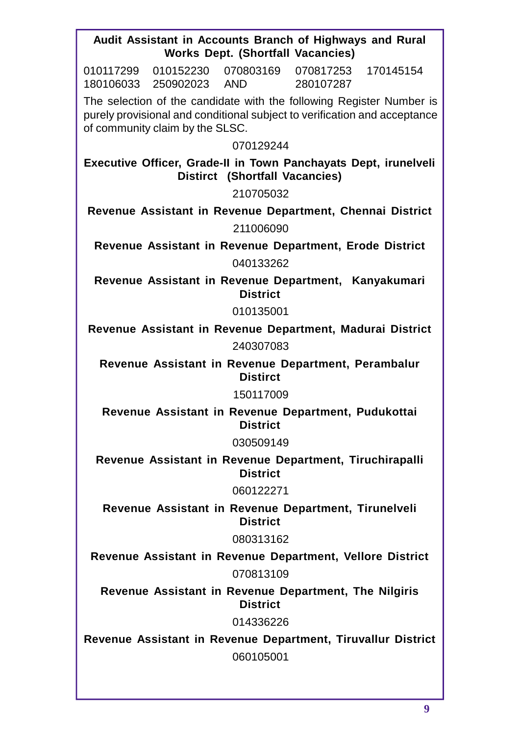|                                 | Audit Assistant in Accounts Branch of Highways and Rural<br><b>Works Dept. (Shortfall Vacancies)</b> |                                  |                                                                                                                                                   |
|---------------------------------|------------------------------------------------------------------------------------------------------|----------------------------------|---------------------------------------------------------------------------------------------------------------------------------------------------|
| 010117299                       | 010152230 070803169                                                                                  | 070817253 170145154<br>280107287 |                                                                                                                                                   |
| of community claim by the SLSC. |                                                                                                      |                                  | The selection of the candidate with the following Register Number is<br>purely provisional and conditional subject to verification and acceptance |
|                                 | 070129244                                                                                            |                                  |                                                                                                                                                   |
|                                 | <b>Distirct (Shortfall Vacancies)</b>                                                                |                                  | Executive Officer, Grade-II in Town Panchayats Dept, irunelveli                                                                                   |
|                                 | 210705032                                                                                            |                                  |                                                                                                                                                   |
|                                 |                                                                                                      |                                  | Revenue Assistant in Revenue Department, Chennai District                                                                                         |
|                                 | 211006090                                                                                            |                                  |                                                                                                                                                   |
|                                 | Revenue Assistant in Revenue Department, Erode District                                              |                                  |                                                                                                                                                   |
|                                 | 040133262                                                                                            |                                  |                                                                                                                                                   |
|                                 | Revenue Assistant in Revenue Department, Kanyakumari<br><b>District</b>                              |                                  |                                                                                                                                                   |
|                                 | 010135001                                                                                            |                                  |                                                                                                                                                   |
|                                 |                                                                                                      |                                  | Revenue Assistant in Revenue Department, Madurai District                                                                                         |
|                                 | 240307083                                                                                            |                                  |                                                                                                                                                   |
|                                 | Revenue Assistant in Revenue Department, Perambalur<br><b>Distirct</b>                               |                                  |                                                                                                                                                   |
|                                 | 150117009                                                                                            |                                  |                                                                                                                                                   |
|                                 | Revenue Assistant in Revenue Department, Pudukottai<br><b>District</b>                               |                                  |                                                                                                                                                   |
|                                 | 030509149                                                                                            |                                  |                                                                                                                                                   |
|                                 | Revenue Assistant in Revenue Department, Tiruchirapalli<br><b>District</b>                           |                                  |                                                                                                                                                   |
|                                 | 060122271                                                                                            |                                  |                                                                                                                                                   |
|                                 | Revenue Assistant in Revenue Department, Tirunelveli<br><b>District</b>                              |                                  |                                                                                                                                                   |
|                                 | 080313162                                                                                            |                                  |                                                                                                                                                   |
|                                 | Revenue Assistant in Revenue Department, Vellore District                                            |                                  |                                                                                                                                                   |
|                                 | 070813109                                                                                            |                                  |                                                                                                                                                   |
|                                 | Revenue Assistant in Revenue Department, The Nilgiris<br><b>District</b>                             |                                  |                                                                                                                                                   |
|                                 | 014336226                                                                                            |                                  |                                                                                                                                                   |
|                                 |                                                                                                      |                                  | Revenue Assistant in Revenue Department, Tiruvallur District                                                                                      |
|                                 | 060105001                                                                                            |                                  |                                                                                                                                                   |
|                                 |                                                                                                      |                                  |                                                                                                                                                   |